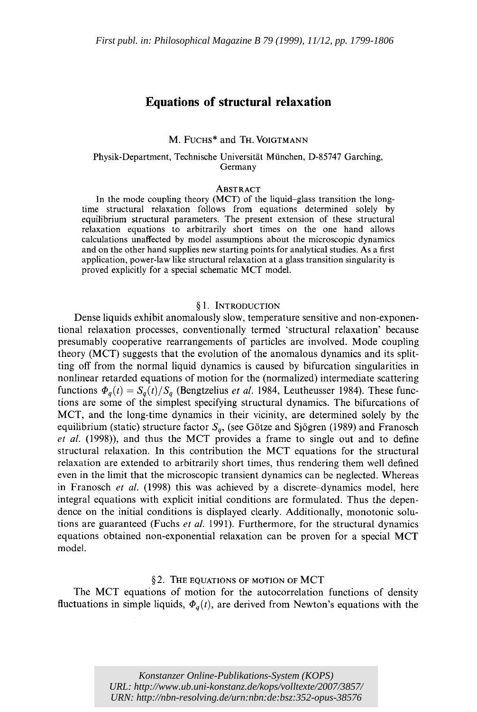# **Equations of structural relaxation**

## M. FUCHS\* and TH. VOIGTMANN

#### Physik-Department, Technische Universitat Miinchen, D-85747 Garching, Germany

#### **ABSTRACT**

 equilibrium structural parameters. The present extension of these structural application, power-law like structural relaxation at a glass transition singularity is In the mode coupling theory (MCT) of the liquid-glass transition the longtime structural relaxation follows from equations determined solely by relaxation equations to arbitrarily short times on the one hand allows calculations unaffected by model assumptions about the microscopic dynamics and on the other hand supplies new starting points for analytical studies. As a first proved explicitly for a special schematic MCT model.

# § 1. INTRODUCTION

 Dense liquids exhibit anomalously slow, temperature sensitive and non-exponen- tional relaxation processes, conventionally termed 'structural relaxation' because theory (MCT) suggests that the evolution of the anomalous dynamics and its split- nonlinear retarded equations of motion for the (normalized) intermediate scattering tions are some of the simplest specifying structural dynamics. The bifurcations of MCT, and the long-time dynamics in their vicinity, are determined solely by the equilibrium (static) structure factor  $S_q$ , (see Götze and Sjögren (1989) and Franosch *et al.* (1998)), and thus the MCT provides a frame to single out and to define structural relaxation. In this contribution the MCT equations for the structural even in the limit that the microscopic transient dynamics can be neglected. Whereas in Franosch *et al.* (1998) this was achieved by a discrete-dynamics model, here dence on the initial conditions is displayed clearly. Additionally, monotonic solu- tions are guaranteed (Fuchs *et al.* 1991). Furthermore, for the structural dynamics equations obtained non-exponential relaxation can be proven for a special MCT presumably cooperative rearrangements of particles are involved. Mode coupling ting off from the normal liquid dynamics is caused by bifurcation singularities in functions  $\Phi_a(t) = S_a(t)/S_a$  (Bengtzelius *et al.* 1984, Leutheusser 1984). These funcrelaxation are extended to arbitrarily short times, thus rendering them well defined integral equations with explicit initial conditions are formulated. Thus the depenmodel.

## §2. THE EQUATIONS OF MOTION OF MCT

 The MCT equations of motion for the autocorrelation functions of density fluctuations in simple liquids,  $\Phi_q(t)$ , are derived from Newton's equations with the

> *Konstanzer Online-Publikations-System (KOPS) URL:<http://www.ub.uni-konstanz.de/kops/volltexte/2007/3857/> URN:<http://nbn-resolving.de/urn:nbn:de:bsz:352-opus-38576>*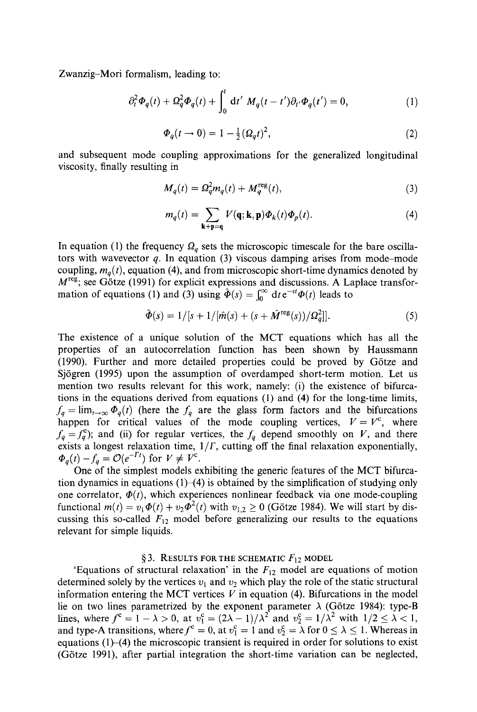Zwanzig-Mori formalism, leading to:

$$
\partial_t^2 \Phi_q(t) + \Omega_q^2 \Phi_q(t) + \int_0^t dt' M_q(t - t') \partial_{t'} \Phi_q(t') = 0,
$$
\n(1)

$$
\Phi_q(t \to 0) = 1 - \frac{1}{2} (\Omega_q t)^2, \tag{2}
$$

 and subsequent mode coupling approximations for the generalized longitudinal viscosity, finally resulting in

$$
M_q(t) = \Omega_q^2 m_q(t) + M_q^{\text{reg}}(t),\tag{3}
$$

$$
m_q(t) = \sum_{\mathbf{k}+\mathbf{p}=\mathbf{q}} V(\mathbf{q}; \mathbf{k}, \mathbf{p}) \Phi_k(t) \Phi_p(t).
$$
 (4)

In equation (1) the frequency  $\Omega_q$  sets the microscopic timescale for the bare oscilla- $M^{\text{reg}}$ ; see Götze (1991) for explicit expressions and discussions. A Laplace transfortors with wavevector q. **In** equation (3) viscous damping arises from mode-mode coupling,  $m_q(t)$ , equation (4), and from microscopic short-time dynamics denoted by mation of equations (1) and (3) using  $\hat{\Phi}(s) = \int_0^\infty dt e^{-st} \Phi(t)$  leads to

$$
\hat{\Phi}(s) = 1/[s + 1/[\hat{m}(s) + (s + \hat{M}^{\text{reg}}(s))/\Omega_q^2]].
$$
\n(5)

 The existence of a unique solution of the MCT equations which has all the (1990). Further and more detailed properties could be proved by G6tze and Sj6gren (1995) upon the assumption of overdamped short-term motion. Let us mention two results relevant for this work, namely: (i) the existence of bifurca- tions in the equations derived from equations (1) and (4) for the long-time limits,  $f_q = \lim_{t \to \infty} \Phi_q(t)$  (here the  $f_q$  are the glass form factors and the bifurcations happen for critical values of the mode coupling vertices,  $V = V<sup>c</sup>$ , where  $f_q = f_q^c$ ; and (ii) for regular vertices, the  $f_q$  depend smoothly on V, and there properties of an autocorrelation function has been shown by Haussmann exists a longest relaxation time,  $1/\Gamma$ , cutting off the final relaxation exponentially,  $\Phi_q(t) - f_q = \mathcal{O}(e^{-\Gamma t})$  for  $V \neq V^c$ .

 One of the simplest models exhibiting the generic features of the MCT bifurcaone correlator,  $\Phi(t)$ , which experiences nonlinear feedback via one mode-coupling cussing this so-called  $F_{12}$  model before generalizing our results to the equations relevant for simple liquids. tion dynamics in equations  $(1)$ – $(4)$  is obtained by the simplification of studying only functional  $m(t) = v_1 \Phi(t) + v_2 \Phi^2(t)$  with  $v_{1,2} \ge 0$  (Götze 1984). We will start by dis-

# §3. RESULTS FOR THE SCHEMATIC  $F_{12}$  MODEL

determined solely by the vertices  $v_1$  and  $v_2$  which play the role of the static structural information entering the MCT vertices  $V$  in equation (4). Bifurcations in the model lie on two lines parametrized by the exponent parameter  $\lambda$  (Götze 1984): type-B equations (1}-(4) the microscopic transient is required in order for solutions to exist 'Equations of structural relaxation' in the  $F_{12}$  model are equations of motion lines, where  $f^c = 1 - \lambda > 0$ , at  $v_1^c = (2\lambda - 1)/\lambda^2$  and  $v_2^c = 1/\lambda^2$  with  $1/2 \leq \lambda < 1$ , and type-A transitions, where  $f^c = 0$ , at  $v_1^c = 1$  and  $v_2^c = \lambda$  for  $0 \le \lambda \le 1$ . Whereas in (G6tze 1991), after partial integration the short-time variation can be neglected,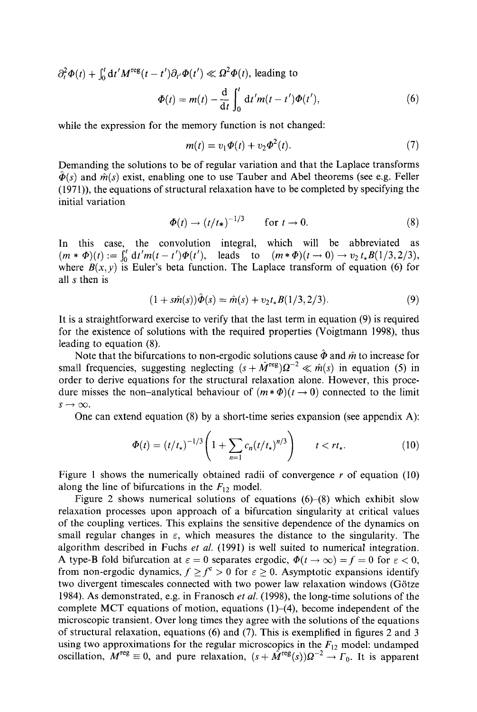$\partial_t^2 \Phi(t) + \int_0^t dt' M^{\text{reg}}(t-t') \partial_{t'} \Phi(t') \ll \Omega^2 \Phi(t)$ , leading to

$$
\Phi(t) = m(t) - \frac{d}{dt} \int_0^t dt' m(t - t') \Phi(t'), \qquad (6)
$$

while the expression for the memory function is not changed:

$$
m(t) = v_1 \Phi(t) + v_2 \Phi^2(t).
$$
 (7)

 Demanding the solutions to be of regular variation and that the Laplace transforms  $\hat{\varPhi}(s)$  and  $\hat{m}(s)$  exist, enabling one to use Tauber and Abel theorems (see e.g. Feller  $(1971)$ , the equations of structural relaxation have to be completed by specifying the initial variation

$$
\Phi(t) \to (t/t_*)^{-1/3} \qquad \text{for } t \to 0. \tag{8}
$$

**In** this case, the convolution integral, which will be abbreviated as  $(m * \Phi)(t) := \int_0^t dt'm(t-t')\Phi(t'),$  leads to  $(m * \Phi)(t \to 0) \to v_2 t_*B(1/3, 2/3),$ where  $B(x, y)$  is Euler's beta function. The Laplace transform of equation (6) for all s then is

$$
(1 + s\hat{m}(s))\hat{\Phi}(s) = \hat{m}(s) + v_2 t_* B(1/3, 2/3). \tag{9}
$$

It is a straightforward exercise to verify that the last term in equation (9) is required for the existence of solutions with the required properties (Voigtmann 1998), thus leading to equation (8).

Note that the bifurcations to non-ergodic solutions cause  $\hat{\phi}$  and  $\hat{m}$  to increase for small frequencies, suggesting neglecting  $(s + \hat{M}^{\text{reg}})\Omega^{-2} \ll \hat{m}(s)$  in equation (5) in order to derive equations for the structural relaxation alone. However, this procedure misses the non-analytical behaviour of  $(m * \Phi)(t \to 0)$  connected to the limit  $s \rightarrow \infty$ .

One can extend equation (8) by a short-time series expansion (see appendix A):

$$
\Phi(t) = (t/t_*)^{-1/3} \left( 1 + \sum_{n=1}^{\infty} c_n (t/t_*)^{n/3} \right) \qquad t < rt_*.
$$
 (10)

along the line of bifurcations in the  $F_{12}$  model. Figure 1 shows the numerically obtained radii of convergence r of equation (10)

 Figure 2 shows numerical solutions of equations (6)-(8) which exhibit slow relaxation processes upon approach of a bifurcation singularity at critical values of the coupling vertices. This explains the sensitive dependence of the dynamics on small regular changes in  $\varepsilon$ , which measures the distance to the singularity. The algorithm described in Fuchs *et al.* (1991) is well suited to numerical integration. A type-B fold bifurcation at  $\varepsilon = 0$  separates ergodic,  $\Phi(t \to \infty) = f = 0$  for  $\varepsilon < 0$ . from non-ergodic dynamics,  $f \ge f^c > 0$  for  $\varepsilon \ge 0$ . Asymptotic expansions identify two divergent timescales connected with two power law relaxation windows (G6tze 1984). As demonstrated, e.g. in Franosch *et al.* (1998), the long-time solutions of the complete MCT equations of motion, equations  $(1)$ - $(4)$ , become independent of the microscopic transient. Over long times they agree with the solutions of the equations of structural relaxation, equations (6) and (7). This is exemplified in figures 2 and 3 using two approximations for the regular microscopics in the  $F_{12}$  model: undamped oscillation,  $M^{\text{reg}} \equiv 0$ , and pure relaxation,  $(s + \hat{M}^{\text{reg}}(s))\Omega^{-2} \to \Gamma_0$ . It is apparent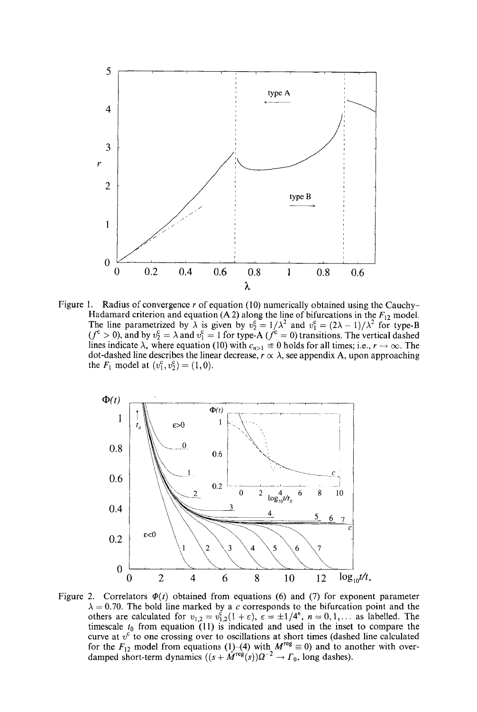

 Figure 1. Radius of convergence *r* of equation (10) numerically obtained using the Cauchy-  $\overline{a}$  $\overline{\phantom{a}}$ holds for all times; i.e.,  $r \rightarrow \infty$ . The dot-dashed line describes the linear decrease,  $r \propto \lambda$ , see appendix A, upon approaching Hadamard criterion and equation (A 2) along the line of bifurcations in the  $F_{12}$  model The line parametrized by  $\lambda$  is given by  $v_2^c = 1/\lambda^2$  and  $v_1^c = (2\lambda - 1)/\lambda^2$  for type-B  $(f^c > 0)$ , and by  $v_2^c = \lambda$  and  $v_1^c = 1$  for type-A  $(f^c = 0)$  transitions. The vertical dashed lines indicate  $\lambda_*$  where equation (10) with  $c_{n>1} \equiv 0$  holds for all times; i.e.,  $r \to \infty$ . The the  $F_1$  model at  $(v_1^c, v_2^c) = (1, 0)$ .



Figure 2. Correlators  $\Phi(t)$  obtained from equations (6) and (7) for exponent parameter  $\lambda = 0.70$ . The bold line marked by a c corresponds to the bifurcation point and the others are calculated for  $v_{1,2} = v_{1,2}^{\xi}(1+\varepsilon)$ ,  $\varepsilon = \pm 1/4^{n}$ ,  $n = 0, 1,...$  as labelled. The timescale  $t_0$  from equation (11) is indicated and used in the inset to compare the  $\ddot{\phantom{0}}$ curve at  $v^c$  to one crossing over to oscillations at short times (dashed line calculated for the  $F_{12}$  model from equations  $(1)$ –(4) with  $M^{\text{reg}} \equiv 0$ ) and to another with over-<br>damped short-term dynamics  $((s + \hat{M}^{\text{reg}}(s))\Omega^{-2} \rightarrow \Gamma_0$ , long dashes).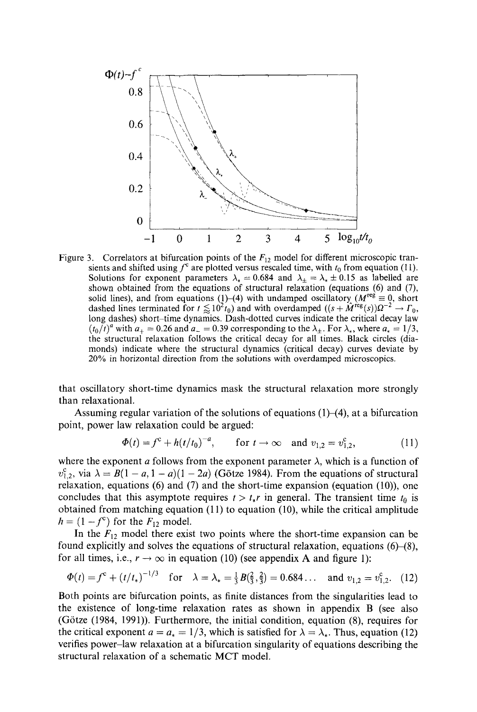

Figure 3. Correlators at bifurcation points of the  $F_{12}$  model for different microscopic transients and shifted using  $f^{\text{c}}$  are plotted versus rescaled time, with  $t_0$  from equation (11). Solutions for exponent parameters  $\lambda_* = 0.684$  and  $\lambda_{\pm} = \lambda_* \pm 0.15$  as labelled are long dashes) short-time dynamics. Dash-dotted curves indicate the critical decay law the structural relaxation follows the critical decay for all times. Black circles (dia- monds) indicate where the structural dynamics (critical decay) curves deviate by 20% in horizontal direction from the solutions with overdamped microscopics. shown obtained from the equations of structural relaxation (equations (6) and (7), solid lines), and from equations (1)–(4) with undamped oscillatory ( $M^{\text{reg}} \equiv 0$ , short dashed lines terminated for  $t \leq 10^2 t_0$ ) and with overdamped  $((s + \hat{M}^{\text{reg}}(s))\Omega^{-2} \to F_0$ ,  $(t_0/t)^a$  with  $a_+ = 0.26$  and  $a_- = 0.39$  corresponding to the  $\lambda_+$ . For  $\lambda_*$ , where  $a_* = 1/3$ ,

 that oscillatory short-time dynamics mask the structural relaxation more strongly than relaxational.

 Assuming regular variation of the solutions of equations (1)-(4), at a bifurcation point, power law relaxation could be argued:

$$
\Phi(t) = f^{c} + h(t/t_{0})^{-a}, \quad \text{for } t \to \infty \text{ and } v_{1,2} = v_{1,2}^{c}, \quad (11)
$$

where the exponent a follows from the exponent parameter  $\lambda$ , which is a function of relaxation, equations (6) and (7) and the short-time expansion (equation (10)), one concludes that this asymptote requires  $t > t<sub>*</sub>r$  in general. The transient time  $t_0$  is obtained from matching equation (11) to equation (10), while the critical amplitude  $h = (1 - f^c)$  for the  $F_{12}$  model.  $v_{1,2}^c$ , via  $\lambda = B(1 - a, 1 - a)(1 - 2a)$  (Götze 1984). From the equations of structural

In the  $F_{12}$  model there exist two points where the short-time expansion can be found explicitly and solves the equations of structural relaxation, equations (6)-(8), for all times, i.e.,  $r \to \infty$  in equation (10) (see appendix A and figure 1):

$$
\Phi(t) = f^c + (t/t_*)^{-1/3} \quad \text{for} \quad \lambda = \lambda_* = \frac{1}{3}B(\frac{2}{3}, \frac{2}{3}) = 0.684 \dots \quad \text{and } v_{1,2} = v_{1,2}^c. \tag{12}
$$

 Both points are bifurcation points, as finite distances from the singularities lead to the existence of long-time relaxation rates as shown in appendix B (see also (Götze (1984, 1991)). Furthermore, the initial condition, equation (8), requires for the critical exponent  $a = a_* = 1/3$ , which is satisfied for  $\lambda = \lambda_*$ . Thus, equation (12) verifies power-law relaxation at a bifurcation singularity of equations describing the structural relaxation of a schematic MCT model.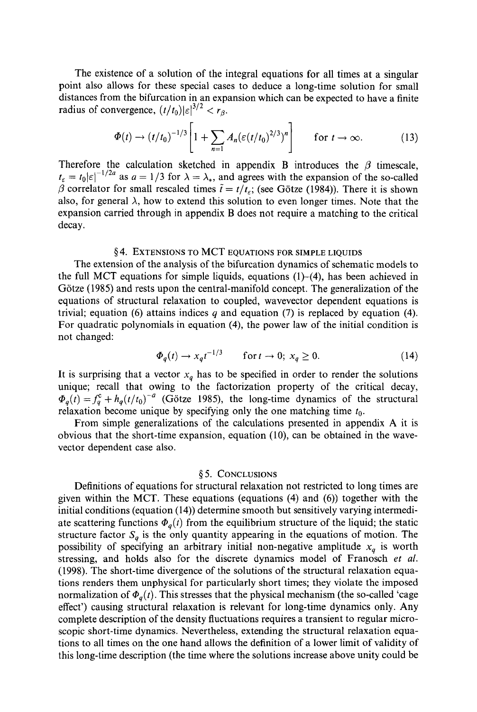The existence of a solution of the integral equations for all times at a singular point also allows for these special cases to deduce a long-time solution for small distances from the bifurcation in an expansion which can be expected to have a finite radius of convergence,  $(t/t_0)|\varepsilon|^{3/2} < r_\beta$ .

$$
\Phi(t) \to (t/t_0)^{-1/3} \left[ 1 + \sum_{n=1} A_n (\varepsilon (t/t_0)^{2/3})^n \right] \qquad \text{for } t \to \infty.
$$
 (13)

 $\beta$  correlator for small rescaled times  $\tilde{t} = t/t_{\epsilon}$ ; (see Götze (1984)). There it is shown also, for general  $\lambda$ , how to extend this solution to even longer times. Note that the expansion carried through in appendix B does not require a matching to the critical Therefore the calculation sketched in appendix B introduces the  $\beta$  timescale,<br> $t_2 = t_0 |\varepsilon|^{-1/2a}$  as  $a = 1/3$  for  $\lambda = \lambda_0$  and agrees with the expansion of the so-called  $t_{\varepsilon} = t_0 |\varepsilon|^{-1/2a}$  as  $a = 1/3$  for  $\lambda = \lambda_*$ , and agrees with the expansion of the so-called decay.

# §4. EXTENSIONS TO MCT EQUATIONS FOR SIMPLE LIQUIDS

The extension of the analysis of the bifurcation dynamics of schematic models to the full MCT equations for simple liquids, equations (1)-(4), has been achieved in Götze (1985) and rests upon the central-manifold concept. The generalization of the equations of structural relaxation to coupled, wavevector dependent equations is trivial; equation (6) attains indices *q* and equation (7) is replaced by equation (4). For quadratic polynomials in equation (4), the power law of the initial condition is not changed:

$$
\Phi_q(t) \to x_q t^{-1/3} \qquad \text{for } t \to 0; \ x_q \ge 0. \tag{14}
$$

It is surprising that a vector  $x_q$  has to be specified in order to render the solutions unique; recall that owing to the factorization property of the critical decay,  $\Phi_q(t) = f_q^c + h_q(t/t_0)^{-a}$  (Götze 1985), the long-time dynamics of the structural relaxation become unique by specifying only the one matching time *to.*

 From simple generalizations of the calculations presented in appendix A it is obvious that the short-time expansion, equation (10), can be obtained in the wave-vector dependent case also.

#### § 5. CONCLUSIONS

 Definitions of equations for structural relaxation not restricted to long times are initial conditions (equation (14)) determine smooth but sensitively varying intermediate scattering functions  $\Phi_q(t)$  from the equilibrium structure of the liquid; the static structure factor  $S_q$  is the only quantity appearing in the equations of motion. The possibility of specifying an arbitrary initial non-negative amplitude *x*<sup>q</sup> is worth stressing, and holds also for the discrete dynamics model of Franosch *et al.* (1998). The short-time divergence of the solutions of the structural relaxation equa- tions renders them unphysical for particularly short times; they violate the imposed normalization of  $\Phi_q(t)$ . This stresses that the physical mechanism (the so-called 'cage effect') causing structural relaxation is relevant for long-time dynamics only. Any complete description of the density fluctuations requires a transient to regular micro- scopic short-time dynamics. Nevertheless, extending the structural relaxation equa- tions to all times on the one hand allows the definition of a lower limit of validity of this long-time description (the time where the solutions increase above unity could begiven within the MCT. These equations (equations (4) and (6)) together with the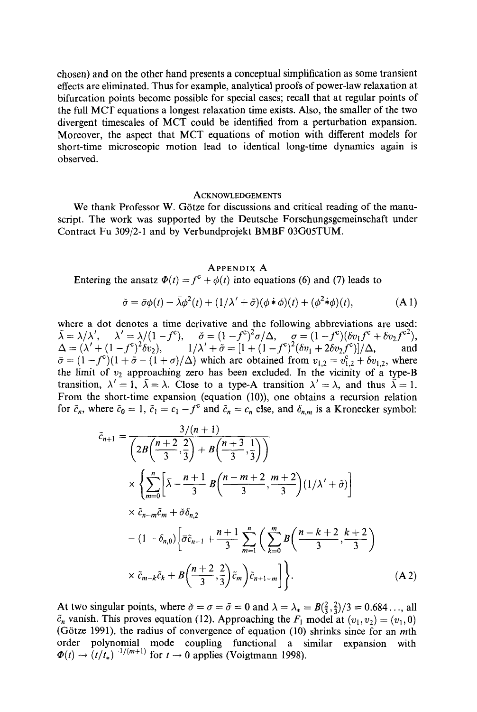chosen) and on the other hand presents a conceptual simplification as some transient effects are eliminated. Thus for example, analytical proofs of power-law relaxation at bifurcation points become possible for special cases; recall that at regular points of the full MCT equations a longest relaxation time exists. Also, the smaller of the two Moreover, the aspect that MCT equations of motion with different models for short-time microscopic motion lead to identical long-time dynamics again is divergent timescales of MCT could be identified from a perturbation expansion. observed.

#### **ACKNOWLEDGEMENTS**

We thank Professor W. Götze for discussions and critical reading of the manu- script. The work was supported by the Deutsche Forschungsgemeinschaft under Contract Fu 309/2-1 and by Verbundprojekt BMBF 03G05TUM.

# ApPENDIX A

Entering the ansatz  $\Phi(t) = f^c + \phi(t)$  into equations (6) and (7) leads to

$$
\check{\sigma} = \bar{\sigma}\phi(t) - \bar{\lambda}\phi^2(t) + (1/\lambda' + \tilde{\sigma})(\phi * \phi)(t) + (\phi^2 * \phi)(t), \tag{A1}
$$

 $\overline{a}$ From the short-time expansion (equation (10)), one obtains a recursion relation for  $\tilde{c}_n$ , where  $\tilde{c}_0 = 1$ ,  $\tilde{c}_1 = c_1 - f^c$  and  $\tilde{c}_n = c_n$  else, and  $\delta_{n,m}$  is a Kronecker symbol: where a dot denotes a time derivative and the following abbreviations are used:  $\tilde{\lambda}=\lambda/\lambda',\hspace{0.5cm}\lambda'=\lambda/(1-f^{\text{c}}),\hspace{0.5cm}\tilde{\sigma}=(1-f^{\text{c}})^2\sigma/\Delta,\hspace{0.5cm}\sigma=(1-f^{\text{c}})(\delta v_1f^{\text{c}}+\delta v_2f^{\text{c2}}),$  $\Delta = (\lambda' + (1 - f^c)^2 \delta v_2),$   $1/\lambda' + \tilde{\sigma} = [1 + (1 - f^c)^2(\delta v_1 + 2\delta v_2 f^c)]/\Delta,$  and  $\bar{\sigma} = (1 - f^c)(1 + \tilde{\sigma} - (1 + \sigma)/\Delta)$  which are obtained from  $v_{1,2} = v_{1,2}^c + \delta v_{1,2}$ , where the limit of Vz approaching *zero* has been excluded. In the vicinity of a type-B transition,  $\lambda' = 1$ ,  $\lambda = \lambda$ . Close to a type-A transition  $\lambda' = \lambda$ , and thus  $\lambda = 1$ .

$$
\tilde{c}_{n+1} = \frac{3/(n+1)}{\left(2B\left(\frac{n+2}{3}, \frac{2}{3}\right) + B\left(\frac{n+3}{3}, \frac{1}{3}\right)\right)}
$$
\n
$$
\times \left\{\sum_{m=0}^{n} \left[\bar{\lambda} - \frac{n+1}{3}B\left(\frac{n-m+2}{3}, \frac{m+2}{3}\right)(1/\lambda' + \tilde{\sigma})\right] \right\}
$$
\n
$$
\times \tilde{c}_{n-m}\tilde{c}_m + \tilde{\sigma}\delta_{n,2}
$$
\n
$$
-(1 - \delta_{n,0})\left[\bar{\sigma}\tilde{c}_{n-1} + \frac{n+1}{3}\sum_{m=1}^{n} \left(\sum_{k=0}^{m} B\left(\frac{n-k+2}{3}, \frac{k+2}{3}\right)\right) \right]
$$
\n
$$
\times \tilde{c}_{m-k}\tilde{c}_k + B\left(\frac{n+2}{3}, \frac{2}{3}\right)\tilde{c}_m\right)\tilde{c}_{n+1-m}\right\}.
$$
\n(A2)

At two singular points, where  $\tilde{\sigma} = \bar{\sigma} = 0$  and  $\lambda = \lambda_* = B(\frac{2}{3}, \frac{2}{3})/3 = 0.684...$ , all  $\tilde{c}_n$  vanish. This proves equation (12). Approaching the  $\tilde{F}_1$  model at  $(v_1, v_2) = (v_1, 0)$  (G6tze 1991), the radius of convergence of equation (10) shrinks since for an *mth* order polynomial mode coupling functional a similar expansion with  $\Phi(t) \rightarrow (t/t_*)^{-1/(m+1)}$  for  $t \rightarrow 0$  applies (Voigtmann 1998).